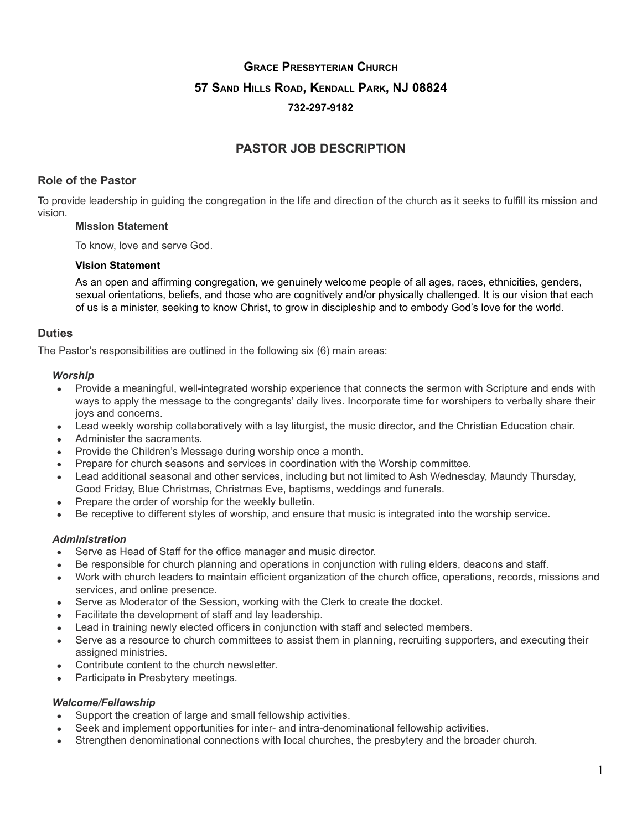# **GRACE PRESBYTERIAN CHURCH 57 SAND HILLS ROAD, KENDALL PARK, NJ 08824 732-297-9182**

# **PASTOR JOB DESCRIPTION**

# **Role of the Pastor**

To provide leadership in guiding the congregation in the life and direction of the church as it seeks to fulfill its mission and vision.

#### **Mission Statement**

To know, love and serve God.

#### **Vision Statement**

As an open and affirming congregation, we genuinely welcome people of all ages, races, ethnicities, genders, sexual orientations, beliefs, and those who are cognitively and/or physically challenged. It is our vision that each of us is a minister, seeking to know Christ, to grow in discipleship and to embody God's love for the world.

# **Duties**

The Pastor's responsibilities are outlined in the following six (6) main areas:

#### *Worship*

- Provide a meaningful, well-integrated worship experience that connects the sermon with Scripture and ends with ways to apply the message to the congregants' daily lives. Incorporate time for worshipers to verbally share their joys and concerns.
- Lead weekly worship collaboratively with a lay liturgist, the music director, and the Christian Education chair.
- Administer the sacraments.
- Provide the Children's Message during worship once a month.
- Prepare for church seasons and services in coordination with the Worship committee.
- Lead additional seasonal and other services, including but not limited to Ash Wednesday, Maundy Thursday, Good Friday, Blue Christmas, Christmas Eve, baptisms, weddings and funerals.
- Prepare the order of worship for the weekly bulletin.
- Be receptive to different styles of worship, and ensure that music is integrated into the worship service.

# *Administration*

- Serve as Head of Staff for the office manager and music director.
- Be responsible for church planning and operations in conjunction with ruling elders, deacons and staff.
- Work with church leaders to maintain efficient organization of the church office, operations, records, missions and services, and online presence.
- Serve as Moderator of the Session, working with the Clerk to create the docket.
- Facilitate the development of staff and lay leadership.
- Lead in training newly elected officers in conjunction with staff and selected members.
- Serve as a resource to church committees to assist them in planning, recruiting supporters, and executing their assigned ministries.
- Contribute content to the church newsletter.
- Participate in Presbytery meetings.

# *Welcome/Fellowship*

- Support the creation of large and small fellowship activities.
- Seek and implement opportunities for inter- and intra-denominational fellowship activities.
- Strengthen denominational connections with local churches, the presbytery and the broader church.